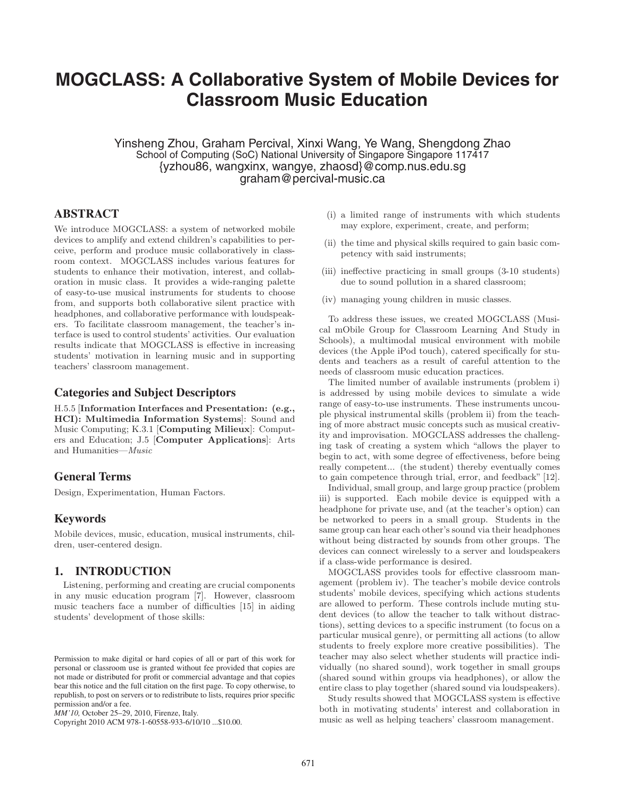# **MOGCLASS: A Collaborative System of Mobile Devices for Classroom Music Education**

Yinsheng Zhou, Graham Percival, Xinxi Wang, Ye Wang, Shengdong Zhao School of Computing (SoC) National University of Singapore Singapore 117417 {yzhou86, wangxinx, wangye, zhaosd}@comp.nus.edu.sg graham@percival-music.ca

# **ABSTRACT**

We introduce MOGCLASS: a system of networked mobile devices to amplify and extend children's capabilities to perceive, perform and produce music collaboratively in classroom context. MOGCLASS includes various features for students to enhance their motivation, interest, and collaboration in music class. It provides a wide-ranging palette of easy-to-use musical instruments for students to choose from, and supports both collaborative silent practice with headphones, and collaborative performance with loudspeakers. To facilitate classroom management, the teacher's interface is used to control students' activities. Our evaluation results indicate that MOGCLASS is effective in increasing students' motivation in learning music and in supporting teachers' classroom management.

# **Categories and Subject Descriptors**

H.5.5 [**Information Interfaces and Presentation: (e.g., HCI): Multimedia Information Systems**]: Sound and Music Computing; K.3.1 [**Computing Milieux**]: Computers and Education; J.5 [**Computer Applications**]: Arts and Humanities—*Music*

# **General Terms**

Design, Experimentation, Human Factors.

# **Keywords**

Mobile devices, music, education, musical instruments, children, user-centered design.

# **1. INTRODUCTION**

Listening, performing and creating are crucial components in any music education program [7]. However, classroom music teachers face a number of difficulties [15] in aiding students' development of those skills:

Copyright 2010 ACM 978-1-60558-933-6/10/10 ...\$10.00.

- (i) a limited range of instruments with which students may explore, experiment, create, and perform;
- (ii) the time and physical skills required to gain basic competency with said instruments;
- (iii) ineffective practicing in small groups (3-10 students) due to sound pollution in a shared classroom;
- (iv) managing young children in music classes.

To address these issues, we created MOGCLASS (Musical mObile Group for Classroom Learning And Study in Schools), a multimodal musical environment with mobile devices (the Apple iPod touch), catered specifically for students and teachers as a result of careful attention to the needs of classroom music education practices.

The limited number of available instruments (problem i) is addressed by using mobile devices to simulate a wide range of easy-to-use instruments. These instruments uncouple physical instrumental skills (problem ii) from the teaching of more abstract music concepts such as musical creativity and improvisation. MOGCLASS addresses the challenging task of creating a system which "allows the player to begin to act, with some degree of effectiveness, before being really competent... (the student) thereby eventually comes to gain competence through trial, error, and feedback" [12].

Individual, small group, and large group practice (problem iii) is supported. Each mobile device is equipped with a headphone for private use, and (at the teacher's option) can be networked to peers in a small group. Students in the same group can hear each other's sound via their headphones without being distracted by sounds from other groups. The devices can connect wirelessly to a server and loudspeakers if a class-wide performance is desired.

MOGCLASS provides tools for effective classroom management (problem iv). The teacher's mobile device controls students' mobile devices, specifying which actions students are allowed to perform. These controls include muting student devices (to allow the teacher to talk without distractions), setting devices to a specific instrument (to focus on a particular musical genre), or permitting all actions (to allow students to freely explore more creative possibilities). The teacher may also select whether students will practice individually (no shared sound), work together in small groups (shared sound within groups via headphones), or allow the entire class to play together (shared sound via loudspeakers).

Study results showed that MOGCLASS system is effective both in motivating students' interest and collaboration in music as well as helping teachers' classroom management.

Permission to make digital or hard copies of all or part of this work for personal or classroom use is granted without fee provided that copies are not made or distributed for profit or commercial advantage and that copies bear this notice and the full citation on the first page. To copy otherwise, to republish, to post on servers or to redistribute to lists, requires prior specific permission and/or a fee.

*MM'10,* October 25–29, 2010, Firenze, Italy.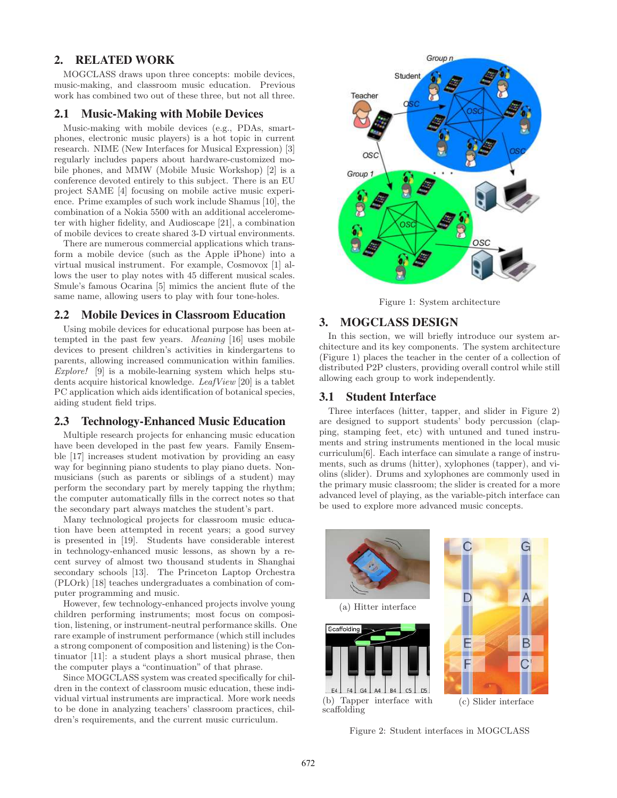# **2. RELATED WORK**

MOGCLASS draws upon three concepts: mobile devices, music-making, and classroom music education. Previous work has combined two out of these three, but not all three.

### **2.1 Music-Making with Mobile Devices**

Music-making with mobile devices (e.g., PDAs, smartphones, electronic music players) is a hot topic in current research. NIME (New Interfaces for Musical Expression) [3] regularly includes papers about hardware-customized mobile phones, and MMW (Mobile Music Workshop) [2] is a conference devoted entirely to this subject. There is an EU project SAME [4] focusing on mobile active music experience. Prime examples of such work include Shamus [10], the combination of a Nokia 5500 with an additional accelerometer with higher fidelity, and Audioscape [21], a combination of mobile devices to create shared 3-D virtual environments.

There are numerous commercial applications which transform a mobile device (such as the Apple iPhone) into a virtual musical instrument. For example, Cosmovox [1] allows the user to play notes with 45 different musical scales. Smule's famous Ocarina [5] mimics the ancient flute of the same name, allowing users to play with four tone-holes.

## **2.2 Mobile Devices in Classroom Education**

Using mobile devices for educational purpose has been attempted in the past few years. *Meaning* [16] uses mobile devices to present children's activities in kindergartens to parents, allowing increased communication within families. *Explore!* [9] is a mobile-learning system which helps students acquire historical knowledge. *LeafView* [20] is a tablet PC application which aids identification of botanical species, aiding student field trips.

## **2.3 Technology-Enhanced Music Education**

Multiple research projects for enhancing music education have been developed in the past few years. Family Ensemble [17] increases student motivation by providing an easy way for beginning piano students to play piano duets. Nonmusicians (such as parents or siblings of a student) may perform the secondary part by merely tapping the rhythm; the computer automatically fills in the correct notes so that the secondary part always matches the student's part.

Many technological projects for classroom music education have been attempted in recent years; a good survey is presented in [19]. Students have considerable interest in technology-enhanced music lessons, as shown by a recent survey of almost two thousand students in Shanghai secondary schools [13]. The Princeton Laptop Orchestra (PLOrk) [18] teaches undergraduates a combination of computer programming and music.

However, few technology-enhanced projects involve young children performing instruments; most focus on composition, listening, or instrument-neutral performance skills. One rare example of instrument performance (which still includes a strong component of composition and listening) is the Continuator [11]: a student plays a short musical phrase, then the computer plays a "continuation" of that phrase.

Since MOGCLASS system was created specifically for children in the context of classroom music education, these individual virtual instruments are impractical. More work needs to be done in analyzing teachers' classroom practices, children's requirements, and the current music curriculum.



Figure 1: System architecture

## **3. MOGCLASS DESIGN**

In this section, we will briefly introduce our system architecture and its key components. The system architecture (Figure 1) places the teacher in the center of a collection of distributed P2P clusters, providing overall control while still allowing each group to work independently.

#### **3.1 Student Interface**

Three interfaces (hitter, tapper, and slider in Figure 2) are designed to support students' body percussion (clapping, stamping feet, etc) with untuned and tuned instruments and string instruments mentioned in the local music curriculum[6]. Each interface can simulate a range of instruments, such as drums (hitter), xylophones (tapper), and violins (slider). Drums and xylophones are commonly used in the primary music classroom; the slider is created for a more advanced level of playing, as the variable-pitch interface can be used to explore more advanced music concepts.



Figure 2: Student interfaces in MOGCLASS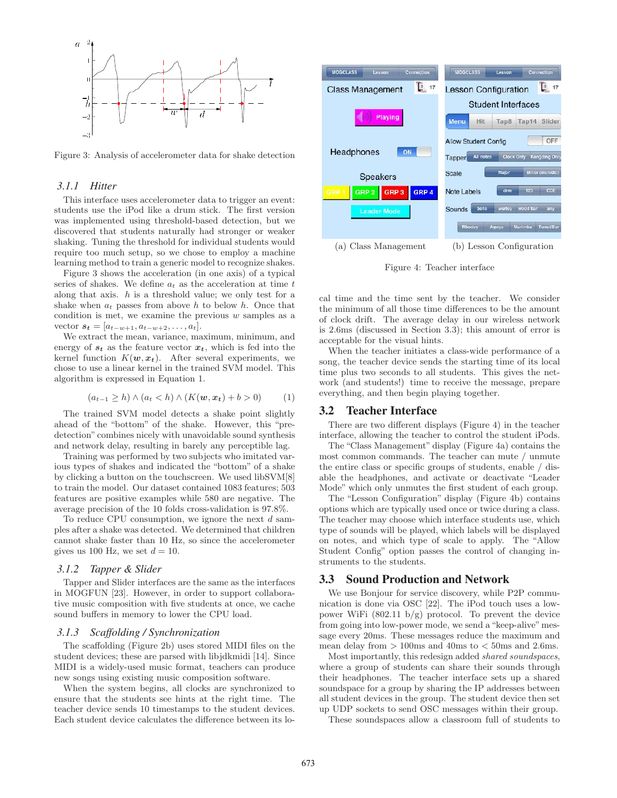

Figure 3: Analysis of accelerometer data for shake detection

#### *3.1.1 Hitter*

This interface uses accelerometer data to trigger an event: students use the iPod like a drum stick. The first version was implemented using threshold-based detection, but we discovered that students naturally had stronger or weaker shaking. Tuning the threshold for individual students would require too much setup, so we chose to employ a machine learning method to train a generic model to recognize shakes.

Figure 3 shows the acceleration (in one axis) of a typical series of shakes. We define *a<sup>t</sup>* as the acceleration at time *t* along that axis. *h* is a threshold value; we only test for a shake when  $a_t$  passes from above  $h$  to below  $h$ . Once that condition is met, we examine the previous *w* samples as a  $\text{vector } s_t = [a_{t-w+1}, a_{t-w+2}, \ldots, a_t].$ 

We extract the mean, variance, maximum, minimum, and energy of  $s_t$  as the feature vector  $x_t$ , which is fed into the kernel function  $K(w, x_t)$ . After several experiments, we chose to use a linear kernel in the trained SVM model. This algorithm is expressed in Equation 1.

$$
(a_{t-1} \ge h) \land (a_t < h) \land (K(\mathbf{w}, \mathbf{x}_t) + b > 0)
$$
 (1)

The trained SVM model detects a shake point slightly ahead of the "bottom" of the shake. However, this "predetection" combines nicely with unavoidable sound synthesis and network delay, resulting in barely any perceptible lag.

Training was performed by two subjects who imitated various types of shakes and indicated the "bottom" of a shake by clicking a button on the touchscreen. We used libSVM[8] to train the model. Our dataset contained 1083 features; 503 features are positive examples while 580 are negative. The average precision of the 10 folds cross-validation is 97.8%.

To reduce CPU consumption, we ignore the next *d* samples after a shake was detected. We determined that children cannot shake faster than 10 Hz, so since the accelerometer gives us 100 Hz, we set  $d = 10$ .

#### *3.1.2 Tapper & Slider*

Tapper and Slider interfaces are the same as the interfaces in MOGFUN [23]. However, in order to support collaborative music composition with five students at once, we cache sound buffers in memory to lower the CPU load.

#### *3.1.3 Scaffolding / Synchronization*

The scaffolding (Figure 2b) uses stored MIDI files on the student devices; these are parsed with libjdkmidi [14]. Since MIDI is a widely-used music format, teachers can produce new songs using existing music composition software.

When the system begins, all clocks are synchronized to ensure that the students see hints at the right time. The teacher device sends 10 timestamps to the student devices. Each student device calculates the difference between its lo-



Figure 4: Teacher interface

cal time and the time sent by the teacher. We consider the minimum of all those time differences to be the amount of clock drift. The average delay in our wireless network is 2.6ms (discussed in Section 3.3); this amount of error is acceptable for the visual hints.

When the teacher initiates a class-wide performance of a song, the teacher device sends the starting time of its local time plus two seconds to all students. This gives the network (and students!) time to receive the message, prepare everything, and then begin playing together.

## **3.2 Teacher Interface**

There are two different displays (Figure 4) in the teacher interface, allowing the teacher to control the student iPods.

The "Class Management" display (Figure 4a) contains the most common commands. The teacher can mute / unmute the entire class or specific groups of students, enable / disable the headphones, and activate or deactivate "Leader Mode" which only unmutes the first student of each group.

The "Lesson Configuration" display (Figure 4b) contains options which are typically used once or twice during a class. The teacher may choose which interface students use, which type of sounds will be played, which labels will be displayed on notes, and which type of scale to apply. The "Allow Student Config" option passes the control of changing instruments to the students.

#### **3.3 Sound Production and Network**

We use Bonjour for service discovery, while P2P communication is done via OSC [22]. The iPod touch uses a lowpower WiFi  $(802.11 \text{ b/g})$  protocol. To prevent the device from going into low-power mode, we send a "keep-alive"message every 20ms. These messages reduce the maximum and mean delay from *>* 100ms and 40ms to *<* 50ms and 2.6ms.

Most importantly, this redesign added *shared soundspaces*, where a group of students can share their sounds through their headphones. The teacher interface sets up a shared soundspace for a group by sharing the IP addresses between all student devices in the group. The student device then set up UDP sockets to send OSC messages within their group.

These soundspaces allow a classroom full of students to